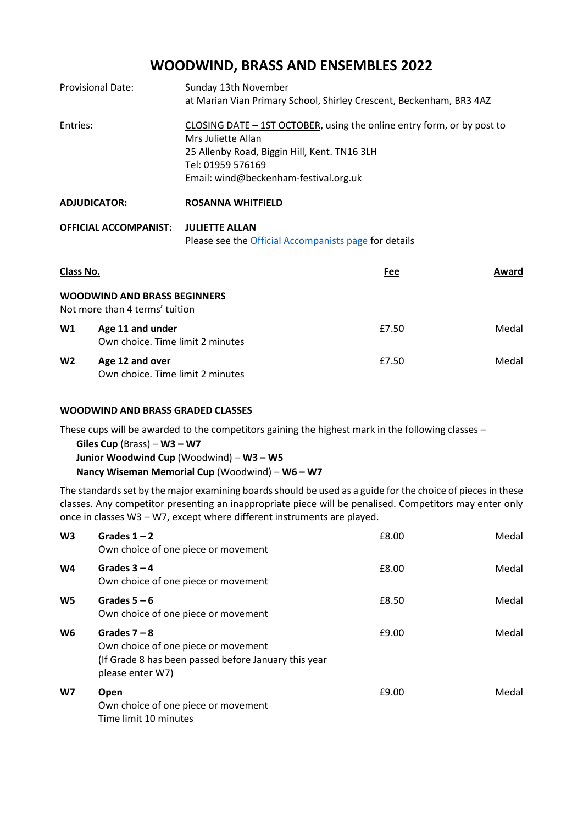# **WOODWIND, BRASS AND ENSEMBLES 2022**

| <b>Provisional Date:</b> | Sunday 13th November<br>at Marian Vian Primary School, Shirley Crescent, Beckenham, BR3 4AZ                                                                                                                |
|--------------------------|------------------------------------------------------------------------------------------------------------------------------------------------------------------------------------------------------------|
| Entries:                 | CLOSING DATE - 1ST OCTOBER, using the online entry form, or by post to<br>Mrs Juliette Allan<br>25 Allenby Road, Biggin Hill, Kent. TN16 3LH<br>Tel: 01959 576169<br>Email: wind@beckenham-festival.org.uk |
| <b>ADJUDICATOR:</b>      | <b>ROSANNA WHITFIELD</b>                                                                                                                                                                                   |

| OFFICIAL ACCOMPANIST: JULIETTE ALLAN |                                                       |  |
|--------------------------------------|-------------------------------------------------------|--|
|                                      | Please see the Official Accompanists page for details |  |

| Class No.      |                                                                       | Fee   | Award |
|----------------|-----------------------------------------------------------------------|-------|-------|
|                | <b>WOODWIND AND BRASS BEGINNERS</b><br>Not more than 4 terms' tuition |       |       |
| W1             | Age 11 and under<br>Own choice. Time limit 2 minutes                  | £7.50 | Medal |
| W <sub>2</sub> | Age 12 and over<br>Own choice. Time limit 2 minutes                   | £7.50 | Medal |

#### **WOODWIND AND BRASS GRADED CLASSES**

These cups will be awarded to the competitors gaining the highest mark in the following classes –

**Giles Cup** (Brass) – **W3 – W7 Junior Woodwind Cup** (Woodwind) – **W3 – W5**

**Nancy Wiseman Memorial Cup** (Woodwind) – **W6 – W7**

The standards set by the major examining boards should be used as a guide for the choice of pieces in these classes. Any competitor presenting an inappropriate piece will be penalised. Competitors may enter only once in classes W3 – W7, except where different instruments are played.

| W <sub>3</sub> | Grades $1 - 2$<br>Own choice of one piece or movement                                                                             | £8.00 | Medal |
|----------------|-----------------------------------------------------------------------------------------------------------------------------------|-------|-------|
| W <sub>4</sub> | Grades $3 - 4$<br>Own choice of one piece or movement                                                                             | £8.00 | Medal |
| W <sub>5</sub> | Grades $5 - 6$<br>Own choice of one piece or movement                                                                             | £8.50 | Medal |
| W <sub>6</sub> | Grades $7 - 8$<br>Own choice of one piece or movement<br>(If Grade 8 has been passed before January this year<br>please enter W7) | £9.00 | Medal |
| W7             | Open<br>Own choice of one piece or movement<br>Time limit 10 minutes                                                              | £9.00 | Medal |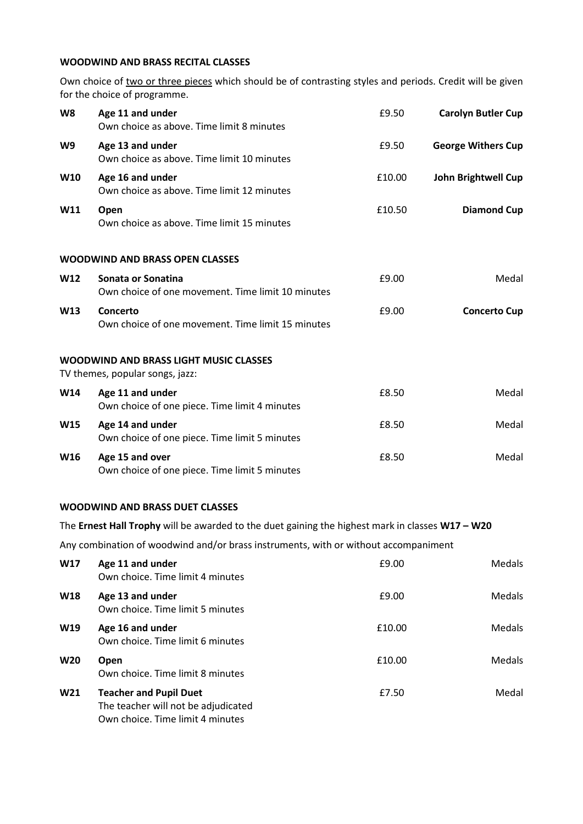## **WOODWIND AND BRASS RECITAL CLASSES**

Own choice of two or three pieces which should be of contrasting styles and periods. Credit will be given for the choice of programme.

| W8                                                                               | Age 11 and under<br>Own choice as above. Time limit 8 minutes           | £9.50  | <b>Carolyn Butler Cup</b>  |
|----------------------------------------------------------------------------------|-------------------------------------------------------------------------|--------|----------------------------|
| W9                                                                               | Age 13 and under<br>Own choice as above. Time limit 10 minutes          | £9.50  | <b>George Withers Cup</b>  |
| <b>W10</b>                                                                       | Age 16 and under<br>Own choice as above. Time limit 12 minutes          | £10.00 | <b>John Brightwell Cup</b> |
| W11                                                                              | Open<br>Own choice as above. Time limit 15 minutes                      | £10.50 | <b>Diamond Cup</b>         |
|                                                                                  | <b>WOODWIND AND BRASS OPEN CLASSES</b>                                  |        |                            |
| W12                                                                              | Sonata or Sonatina<br>Own choice of one movement. Time limit 10 minutes | £9.00  | Medal                      |
| <b>W13</b>                                                                       | Concerto<br>Own choice of one movement. Time limit 15 minutes           | £9.00  | <b>Concerto Cup</b>        |
| <b>WOODWIND AND BRASS LIGHT MUSIC CLASSES</b><br>TV themes, popular songs, jazz: |                                                                         |        |                            |
| <b>W14</b>                                                                       | Age 11 and under<br>Own choice of one piece. Time limit 4 minutes       | £8.50  | Medal                      |
| <b>W15</b>                                                                       | Age 14 and under<br>Own choice of one piece. Time limit 5 minutes       | £8.50  | Medal                      |
| W <sub>16</sub>                                                                  | Age 15 and over<br>Own choice of one piece. Time limit 5 minutes        | £8.50  | Medal                      |

## **WOODWIND AND BRASS DUET CLASSES**

The **Ernest Hall Trophy** will be awarded to the duet gaining the highest mark in classes **W17 – W20**

Any combination of woodwind and/or brass instruments, with or without accompaniment

| <b>W17</b>      | Age 11 and under<br>Own choice. Time limit 4 minutes                                                     | £9.00  | Medals        |
|-----------------|----------------------------------------------------------------------------------------------------------|--------|---------------|
| <b>W18</b>      | Age 13 and under<br>Own choice. Time limit 5 minutes                                                     | £9.00  | <b>Medals</b> |
| W19             | Age 16 and under<br>Own choice. Time limit 6 minutes                                                     | £10.00 | <b>Medals</b> |
| <b>W20</b>      | <b>Open</b><br>Own choice. Time limit 8 minutes                                                          | £10.00 | <b>Medals</b> |
| W <sub>21</sub> | <b>Teacher and Pupil Duet</b><br>The teacher will not be adjudicated<br>Own choice. Time limit 4 minutes | £7.50  | Medal         |